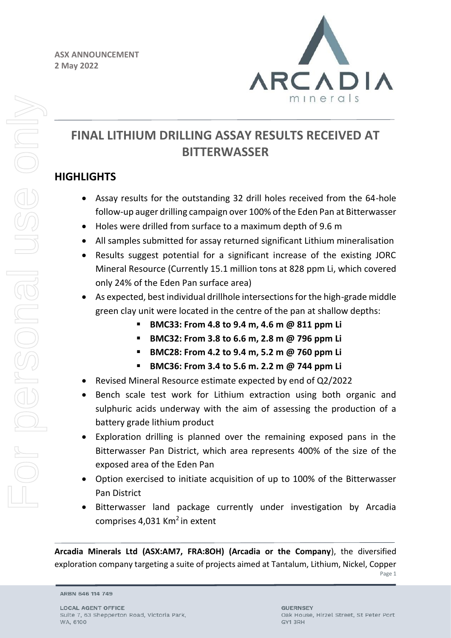

# **FINAL LITHIUM DRILLING ASSAY RESULTS RECEIVED AT BITTERWASSER**

# **HIGHLIGHTS**

- Assay results for the outstanding 32 drill holes received from the 64-hole follow-up auger drilling campaign over 100% of the Eden Pan at Bitterwasser
- Holes were drilled from surface to a maximum depth of 9.6 m
- All samples submitted for assay returned significant Lithium mineralisation
- Results suggest potential for a significant increase of the existing JORC Mineral Resource (Currently 15.1 million tons at 828 ppm Li, which covered only 24% of the Eden Pan surface area)
- As expected, best individual drillhole intersections for the high-grade middle green clay unit were located in the centre of the pan at shallow depths:
	- **BMC33: From 4.8 to 9.4 m, 4.6 m @ 811 ppm Li**
	- **BMC32: From 3.8 to 6.6 m, 2.8 m @ 796 ppm Li**
	- **BMC28: From 4.2 to 9.4 m, 5.2 m @ 760 ppm Li**
	- **BMC36: From 3.4 to 5.6 m. 2.2 m @ 744 ppm Li**
- Revised Mineral Resource estimate expected by end of Q2/2022
- Bench scale test work for Lithium extraction using both organic and sulphuric acids underway with the aim of assessing the production of a battery grade lithium product
- Exploration drilling is planned over the remaining exposed pans in the Bitterwasser Pan District, which area represents 400% of the size of the exposed area of the Eden Pan
- Option exercised to initiate acquisition of up to 100% of the Bitterwasser Pan District
- Bitterwasser land package currently under investigation by Arcadia comprises  $4.031$  Km<sup>2</sup> in extent

**Arcadia Minerals Ltd (ASX:AM7, FRA:8OH) (Arcadia or the Company**), the diversified exploration company targeting a suite of projects aimed at Tantalum, Lithium, Nickel, Copper

Page 1

ARBN 646 114 749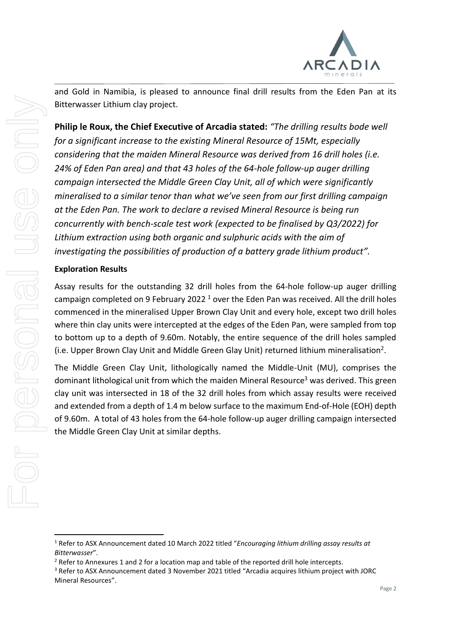

and Gold in Namibia, is pleased to announce final drill results from the Eden Pan at its Bitterwasser Lithium clay project.

**Philip le Roux, the Chief Executive of Arcadia stated:** *"The drilling results bode well for a significant increase to the existing Mineral Resource of 15Mt, especially considering that the maiden Mineral Resource was derived from 16 drill holes (i.e. 24% of Eden Pan area) and that 43 holes of the 64-hole follow-up auger drilling campaign intersected the Middle Green Clay Unit, all of which were significantly mineralised to a similar tenor than what we've seen from our first drilling campaign at the Eden Pan. The work to declare a revised Mineral Resource is being run concurrently with bench-scale test work (expected to be finalised by Q3/2022) for Lithium extraction using both organic and sulphuric acids with the aim of investigating the possibilities of production of a battery grade lithium product".* 

#### **Exploration Results**

Assay results for the outstanding 32 drill holes from the 64-hole follow-up auger drilling campaign completed on 9 February 2022<sup>1</sup> over the Eden Pan was received. All the drill holes commenced in the mineralised Upper Brown Clay Unit and every hole, except two drill holes where thin clay units were intercepted at the edges of the Eden Pan, were sampled from top to bottom up to a depth of 9.60m. Notably, the entire sequence of the drill holes sampled (i.e. Upper Brown Clay Unit and Middle Green Glay Unit) returned lithium mineralisation<sup>2</sup>.

The Middle Green Clay Unit, lithologically named the Middle-Unit (MU), comprises the dominant lithological unit from which the maiden Mineral Resource<sup>3</sup> was derived. This green clay unit was intersected in 18 of the 32 drill holes from which assay results were received and extended from a depth of 1.4 m below surface to the maximum End-of-Hole (EOH) depth of 9.60m. A total of 43 holes from the 64-hole follow-up auger drilling campaign intersected the Middle Green Clay Unit at similar depths.

<sup>1</sup> Refer to ASX Announcement dated 10 March 2022 titled "*Encouraging lithium drilling assay results at Bitterwasser*".

<sup>&</sup>lt;sup>2</sup> Refer to Annexures 1 and 2 for a location map and table of the reported drill hole intercepts.

<sup>3</sup> Refer to ASX Announcement dated 3 November 2021 titled "Arcadia acquires lithium project with JORC Mineral Resources".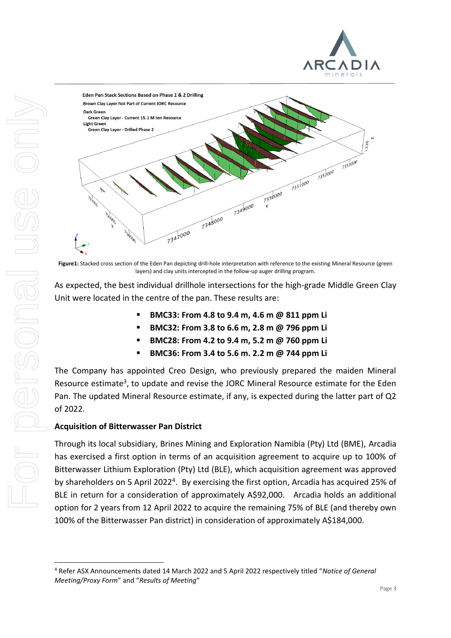



**Figure1:** Stacked cross section of the Eden Pan depicting drill-hole interpretation with reference to the existing Mineral Resource (green layers) and clay units intercepted in the follow-up auger drilling program.

As expected, the best individual drillhole intersections for the high-grade Middle Green Clay Unit were located in the centre of the pan. These results are:

- **BMC33: From 4.8 to 9.4 m, 4.6 m @ 811 ppm Li**
- **BMC32: From 3.8 to 6.6 m, 2.8 m @ 796 ppm Li**
- **BMC28: From 4.2 to 9.4 m, 5.2 m @ 760 ppm Li**
- **BMC36: From 3.4 to 5.6 m. 2.2 m @ 744 ppm Li**

The Company has appointed Creo Design, who previously prepared the maiden Mineral Resource estimate<sup>3</sup>, to update and revise the JORC Mineral Resource estimate for the Eden Pan. The updated Mineral Resource estimate, if any, is expected during the latter part of Q2 of 2022.

#### **Acquisition of Bitterwasser Pan District**

Through its local subsidiary, Brines Mining and Exploration Namibia (Pty) Ltd (BME), Arcadia has exercised a first option in terms of an acquisition agreement to acquire up to 100% of Bitterwasser Lithium Exploration (Pty) Ltd (BLE), which acquisition agreement was approved by shareholders on 5 April 2022<sup>4</sup>. By exercising the first option, Arcadia has acquired 25% of BLE in return for a consideration of approximately A\$92,000. Arcadia holds an additional option for 2 years from 12 April 2022 to acquire the remaining 75% of BLE (and thereby own 100% of the Bitterwasser Pan district) in consideration of approximately A\$184,000.

<sup>4</sup> Refer ASX Announcements dated 14 March 2022 and 5 April 2022 respectively titled "*Notice of General Meeting/Proxy Form*" and "*Results of Meeting*"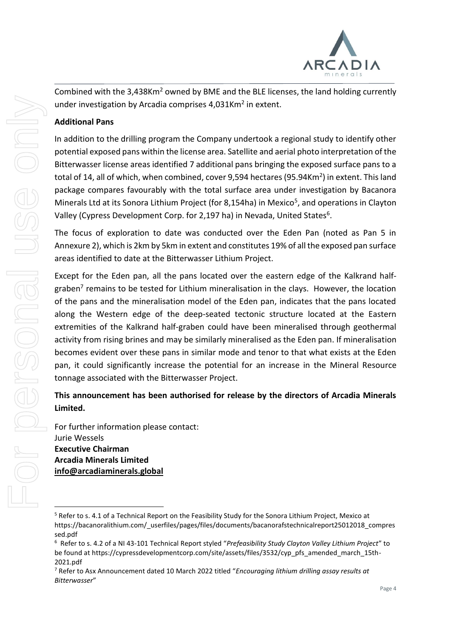

Combined with the 3,438Km<sup>2</sup> owned by BME and the BLE licenses, the land holding currently under investigation by Arcadia comprises 4,031Km<sup>2</sup> in extent.

### **Additional Pans**

In addition to the drilling program the Company undertook a regional study to identify other potential exposed pans within the license area. Satellite and aerial photo interpretation of the Bitterwasser license areas identified 7 additional pans bringing the exposed surface pans to a total of 14, all of which, when combined, cover 9,594 hectares (95.94Km<sup>2</sup>) in extent. This land package compares favourably with the total surface area under investigation by Bacanora Minerals Ltd at its Sonora Lithium Project (for 8,154ha) in Mexico<sup>5</sup>, and operations in Clayton Valley (Cypress Development Corp. for 2,197 ha) in Nevada, United States<sup>6</sup>.

The focus of exploration to date was conducted over the Eden Pan (noted as Pan 5 in Annexure 2), which is 2km by 5km in extent and constitutes 19% of all the exposed pan surface areas identified to date at the Bitterwasser Lithium Project.

Except for the Eden pan, all the pans located over the eastern edge of the Kalkrand halfgraben<sup>7</sup> remains to be tested for Lithium mineralisation in the clays. However, the location of the pans and the mineralisation model of the Eden pan, indicates that the pans located along the Western edge of the deep-seated tectonic structure located at the Eastern extremities of the Kalkrand half-graben could have been mineralised through geothermal activity from rising brines and may be similarly mineralised as the Eden pan. If mineralisation becomes evident over these pans in similar mode and tenor to that what exists at the Eden pan, it could significantly increase the potential for an increase in the Mineral Resource tonnage associated with the Bitterwasser Project.

# **This announcement has been authorised for release by the directors of Arcadia Minerals Limited.**

For further information please contact: Jurie Wessels **Executive Chairman Arcadia Minerals Limited [info@arcadiaminerals.global](mailto:info@arcadiaminerals.global)**

<sup>5</sup> Refer to s. 4.1 of a Technical Report on the Feasibility Study for the Sonora Lithium Project, Mexico at https://bacanoralithium.com/\_userfiles/pages/files/documents/bacanorafstechnicalreport25012018\_compres sed.pdf

<sup>6</sup> Refer to s. 4.2 of a NI 43-101 Technical Report styled "*Prefeasibility Study Clayton Valley Lithium Project*" to be found at https://cypressdevelopmentcorp.com/site/assets/files/3532/cyp\_pfs\_amended\_march\_15th-2021.pdf

<sup>7</sup> Refer to Asx Announcement dated 10 March 2022 titled "*Encouraging lithium drilling assay results at Bitterwasser*"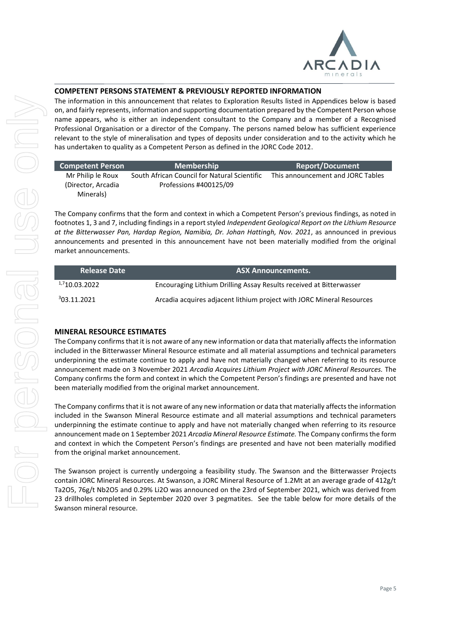

#### **COMPETENT PERSONS STATEMENT & PREVIOUSLY REPORTED INFORMATION**

The information in this announcement that relates to Exploration Results listed in Appendices below is based on, and fairly represents, information and supporting documentation prepared by the Competent Person whose name appears, who is either an independent consultant to the Company and a member of a Recognised Professional Organisation or a director of the Company. The persons named below has sufficient experience relevant to the style of mineralisation and types of deposits under consideration and to the activity which he has undertaken to quality as a Competent Person as defined in the JORC Code 2012.

| <b>Competent Person</b>                               | <b>Membership</b>                                                      | <b>Report/Document</b>            |
|-------------------------------------------------------|------------------------------------------------------------------------|-----------------------------------|
| Mr Philip le Roux<br>(Director, Arcadia)<br>Minerals) | South African Council for Natural Scientific<br>Professions #400125/09 | This announcement and JORC Tables |

The Company confirms that the form and context in which a Competent Person's previous findings, as noted in footnotes 1, 3 and 7, including findings in a report styled *Independent Geological Report on the Lithium Resource at the Bitterwasser Pan, Hardap Region, Namibia, Dr. Johan Hattingh, Nov. 2021*, as announced in previous announcements and presented in this announcement have not been materially modified from the original market announcements.

| <b>Release Date</b> | <b>ASX Announcements.</b>                                             |
|---------------------|-----------------------------------------------------------------------|
| 1,710.03.2022       | Encouraging Lithium Drilling Assay Results received at Bitterwasser   |
| 303.11.2021         | Arcadia acquires adjacent lithium project with JORC Mineral Resources |

#### **MINERAL RESOURCE ESTIMATES**

The Company confirms that it is not aware of any new information or data that materially affects the information included in the Bitterwasser Mineral Resource estimate and all material assumptions and technical parameters underpinning the estimate continue to apply and have not materially changed when referring to its resource announcement made on 3 November 2021 *Arcadia Acquires Lithium Project with JORC Mineral Resources.* The Company confirms the form and context in which the Competent Person's findings are presented and have not been materially modified from the original market announcement.

The Company confirms that it is not aware of any new information or data that materially affects the information included in the Swanson Mineral Resource estimate and all material assumptions and technical parameters underpinning the estimate continue to apply and have not materially changed when referring to its resource announcement made on 1 September 2021 *Arcadia Mineral Resource Estimate.* The Company confirms the form and context in which the Competent Person's findings are presented and have not been materially modified from the original market announcement.

The Swanson project is currently undergoing a feasibility study. The Swanson and the Bitterwasser Projects contain JORC Mineral Resources. At Swanson, a JORC Mineral Resource of 1.2Mt at an average grade of 412g/t Ta2O5, 76g/t Nb2O5 and 0.29% Li2O was announced on the 23rd of September 2021, which was derived from 23 drillholes completed in September 2020 over 3 pegmatites. See the table below for more details of the Swanson mineral resource.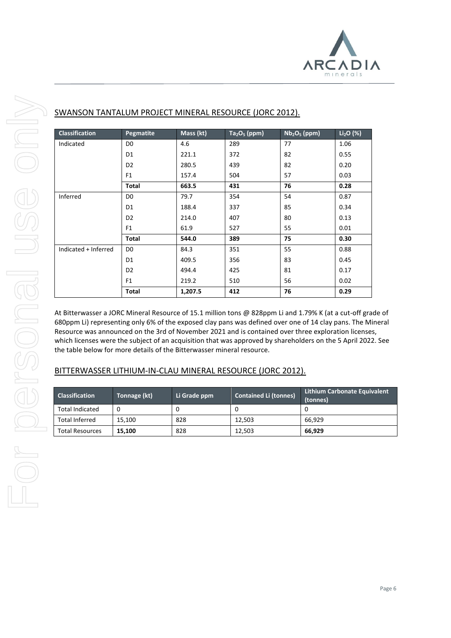

| <b>Classification</b> | Pegmatite      | Mass (kt) | $Ta2O5$ (ppm) | $Nb2O5$ (ppm) | $Li2O$ (%) |
|-----------------------|----------------|-----------|---------------|---------------|------------|
|                       | D <sub>0</sub> | 4.6       | 289           | 77            | 1.06       |
| Indicated             |                |           |               |               |            |
|                       | D1             | 221.1     | 372           | 82            | 0.55       |
|                       | D <sub>2</sub> | 280.5     | 439           | 82            | 0.20       |
|                       | F1             | 157.4     | 504           | 57            | 0.03       |
|                       | <b>Total</b>   | 663.5     | 431           | 76            | 0.28       |
| Inferred              | D <sub>0</sub> | 79.7      | 354           | 54            | 0.87       |
|                       | D1             | 188.4     | 337           | 85            | 0.34       |
|                       | D <sub>2</sub> | 214.0     | 407           | 80            | 0.13       |
|                       | F1             | 61.9      | 527           | 55            | 0.01       |
|                       | Total          | 544.0     | 389           | 75            | 0.30       |
| Indicated + Inferred  | D <sub>0</sub> | 84.3      | 351           | 55            | 0.88       |
|                       | D1             | 409.5     | 356           | 83            | 0.45       |
|                       | D <sub>2</sub> | 494.4     | 425           | 81            | 0.17       |
|                       | F1             | 219.2     | 510           | 56            | 0.02       |
|                       | Total          | 1,207.5   | 412           | 76            | 0.29       |

#### SWANSON TANTALUM PROJECT MINERAL RESOURCE (JORC 2012).

At Bitterwasser a JORC Mineral Resource of 15.1 million tons @ 828ppm Li and 1.79% K (at a cut-off grade of 680ppm Li) representing only 6% of the exposed clay pans was defined over one of 14 clay pans. The Mineral Resource was announced on the 3rd of November 2021 and is contained over three exploration licenses, which licenses were the subject of an acquisition that was approved by shareholders on the 5 April 2022. See the table below for more details of the Bitterwasser mineral resource.

#### BITTERWASSER LITHIUM-IN-CLAU MINERAL RESOURCE (JORC 2012).

| <b>Classification</b>  | Tonnage (kt) | Li Grade ppm | <b>Contained Li (tonnes)</b> | <b>Lithium Carbonate Equivalent</b><br>(tonnes) |
|------------------------|--------------|--------------|------------------------------|-------------------------------------------------|
| <b>Total Indicated</b> |              |              |                              |                                                 |
| <b>Total Inferred</b>  | 15.100       | 828          | 12,503                       | 66.929                                          |
| <b>Total Resources</b> | 15.100       | 828          | 12.503                       | 66,929                                          |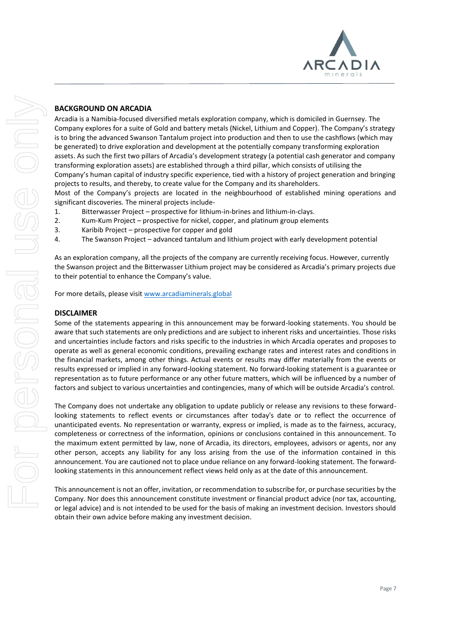

#### **BACKGROUND ON ARCADIA**

Arcadia is a Namibia-focused diversified metals exploration company, which is domiciled in Guernsey. The Company explores for a suite of Gold and battery metals (Nickel, Lithium and Copper). The Company's strategy is to bring the advanced Swanson Tantalum project into production and then to use the cashflows (which may be generated) to drive exploration and development at the potentially company transforming exploration assets. As such the first two pillars of Arcadia's development strategy (a potential cash generator and company transforming exploration assets) are established through a third pillar, which consists of utilising the Company's human capital of industry specific experience, tied with a history of project generation and bringing projects to results, and thereby, to create value for the Company and its shareholders.

Most of the Company's projects are located in the neighbourhood of established mining operations and significant discoveries. The mineral projects include-

- 1. Bitterwasser Project prospective for lithium-in-brines and lithium-in-clays.
- 2. Kum-Kum Project prospective for nickel, copper, and platinum group elements
- 3. Karibib Project prospective for copper and gold
- 4. The Swanson Project advanced tantalum and lithium project with early development potential

As an exploration company, all the projects of the company are currently receiving focus. However, currently the Swanson project and the Bitterwasser Lithium project may be considered as Arcadia's primary projects due to their potential to enhance the Company's value.

For more details, please visit [www.arcadiaminerals.global](http://www.arcadiaminerals.global/)

#### **DISCLAIMER**

Some of the statements appearing in this announcement may be forward-looking statements. You should be aware that such statements are only predictions and are subject to inherent risks and uncertainties. Those risks and uncertainties include factors and risks specific to the industries in which Arcadia operates and proposes to operate as well as general economic conditions, prevailing exchange rates and interest rates and conditions in the financial markets, among other things. Actual events or results may differ materially from the events or results expressed or implied in any forward-looking statement. No forward-looking statement is a guarantee or representation as to future performance or any other future matters, which will be influenced by a number of factors and subject to various uncertainties and contingencies, many of which will be outside Arcadia's control.

The Company does not undertake any obligation to update publicly or release any revisions to these forwardlooking statements to reflect events or circumstances after today's date or to reflect the occurrence of unanticipated events. No representation or warranty, express or implied, is made as to the fairness, accuracy, completeness or correctness of the information, opinions or conclusions contained in this announcement. To the maximum extent permitted by law, none of Arcadia, its directors, employees, advisors or agents, nor any other person, accepts any liability for any loss arising from the use of the information contained in this announcement. You are cautioned not to place undue reliance on any forward-looking statement. The forwardlooking statements in this announcement reflect views held only as at the date of this announcement.

This announcement is not an offer, invitation, or recommendation to subscribe for, or purchase securities by the Company. Nor does this announcement constitute investment or financial product advice (nor tax, accounting, or legal advice) and is not intended to be used for the basis of making an investment decision. Investors should obtain their own advice before making any investment decision.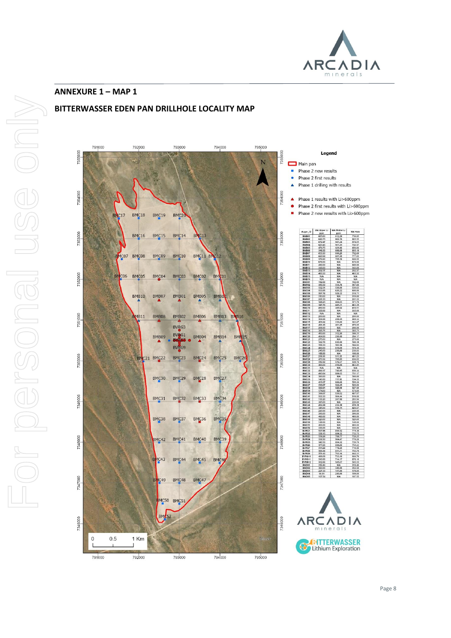

#### **BITTERWASSER EDEN PAN DRILLHOLE LOCALITY MAP**



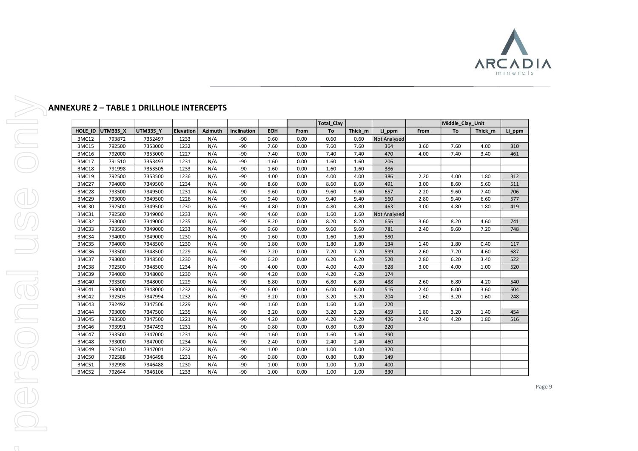

#### **ANNEXURE 2 – TABLE 1 DRILLHOLE INTERCEPTS**

|         |          |          |           |         |             |            |      | <b>Total Clay</b> |         |                     |      | Middle Clay Unit |         |
|---------|----------|----------|-----------|---------|-------------|------------|------|-------------------|---------|---------------------|------|------------------|---------|
| HOLE ID | UTM33S X | UTM33S_Y | Elevation | Azimuth | Inclination | <b>EOH</b> | From | To                | Thick_m | Li ppm              | From | To               | Thick_m |
| BMC12   | 793872   | 7352497  | 1233      | N/A     | $-90$       | 0.60       | 0.00 | 0.60              | 0.60    | <b>Not Analysed</b> |      |                  |         |
| BMC15   | 792500   | 7353000  | 1232      | N/A     | $-90$       | 7.60       | 0.00 | 7.60              | 7.60    | 364                 | 3.60 | 7.60             | 4.00    |
| BMC16   | 792000   | 7353000  | 1227      | N/A     | $-90$       | 7.40       | 0.00 | 7.40              | 7.40    | 470                 | 4.00 | 7.40             | 3.40    |
| BMC17   | 791510   | 7353497  | 1231      | N/A     | $-90$       | 1.60       | 0.00 | 1.60              | 1.60    | 206                 |      |                  |         |
| BMC18   | 791998   | 7353505  | 1233      | N/A     | $-90$       | 1.60       | 0.00 | 1.60              | 1.60    | 386                 |      |                  |         |
| BMC19   | 792500   | 7353500  | 1236      | N/A     | $-90$       | 4.00       | 0.00 | 4.00              | 4.00    | 386                 | 2.20 | 4.00             | 1.80    |
| BMC27   | 794000   | 7349500  | 1234      | N/A     | $-90$       | 8.60       | 0.00 | 8.60              | 8.60    | 491                 | 3.00 | 8.60             | 5.60    |
| BMC28   | 793500   | 7349500  | 1231      | N/A     | $-90$       | 9.60       | 0.00 | 9.60              | 9.60    | 657                 | 2.20 | 9.60             | 7.40    |
| BMC29   | 793000   | 7349500  | 1226      | N/A     | $-90$       | 9.40       | 0.00 | 9.40              | 9.40    | 560                 | 2.80 | 9.40             | 6.60    |
| BMC30   | 792500   | 7349500  | 1230      | N/A     | $-90$       | 4.80       | 0.00 | 4.80              | 4.80    | 463                 | 3.00 | 4.80             | 1.80    |
| BMC31   | 792500   | 7349000  | 1233      | N/A     | $-90$       | 4.60       | 0.00 | 1.60              | 1.60    | Not Analysed        |      |                  |         |
| BMC32   | 793000   | 7349000  | 1235      | N/A     | $-90$       | 8.20       | 0.00 | 8.20              | 8.20    | 656                 | 3.60 | 8.20             | 4.60    |
| BMC33   | 793500   | 7349000  | 1233      | N/A     | $-90$       | 9.60       | 0.00 | 9.60              | 9.60    | 781                 | 2.40 | 9.60             | 7.20    |
| BMC34   | 794000   | 7349000  | 1230      | N/A     | $-90$       | 1.60       | 0.00 | 1.60              | 1.60    | 580                 |      |                  |         |
| BMC35   | 794000   | 7348500  | 1230      | N/A     | $-90$       | 1.80       | 0.00 | 1.80              | 1.80    | 134                 | 1.40 | 1.80             | 0.40    |
| BMC36   | 793500   | 7348500  | 1229      | N/A     | $-90$       | 7.20       | 0.00 | 7.20              | 7.20    | 599                 | 2.60 | 7.20             | 4.60    |
| BMC37   | 793000   | 7348500  | 1230      | N/A     | $-90$       | 6.20       | 0.00 | 6.20              | 6.20    | 520                 | 2.80 | 6.20             | 3.40    |
| BMC38   | 792500   | 7348500  | 1234      | N/A     | $-90$       | 4.00       | 0.00 | 4.00              | 4.00    | 528                 | 3.00 | 4.00             | 1.00    |
| BMC39   | 794000   | 7348000  | 1230      | N/A     | $-90$       | 4.20       | 0.00 | 4.20              | 4.20    | 174                 |      |                  |         |
| BMC40   | 793500   | 7348000  | 1229      | N/A     | $-90$       | 6.80       | 0.00 | 6.80              | 6.80    | 488                 | 2.60 | 6.80             | 4.20    |
| BMC41   | 793000   | 7348000  | 1232      | N/A     | $-90$       | 6.00       | 0.00 | 6.00              | 6.00    | 516                 | 2.40 | 6.00             | 3.60    |
| BMC42   | 792503   | 7347994  | 1232      | N/A     | $-90$       | 3.20       | 0.00 | 3.20              | 3.20    | 204                 | 1.60 | 3.20             | 1.60    |
| BMC43   | 792492   | 7347506  | 1229      | N/A     | $-90$       | 1.60       | 0.00 | 1.60              | 1.60    | 220                 |      |                  |         |
| BMC44   | 793000   | 7347500  | 1235      | N/A     | $-90$       | 3.20       | 0.00 | 3.20              | 3.20    | 459                 | 1.80 | 3.20             | 1.40    |
| BMC45   | 793500   | 7347500  | 1221      | N/A     | $-90$       | 4.20       | 0.00 | 4.20              | 4.20    | 426                 | 2.40 | 4.20             | 1.80    |
| BMC46   | 793991   | 7347492  | 1231      | N/A     | $-90$       | 0.80       | 0.00 | 0.80              | 0.80    | 220                 |      |                  |         |
| BMC47   | 793500   | 7347000  | 1231      | N/A     | $-90$       | 1.60       | 0.00 | 1.60              | 1.60    | 390                 |      |                  |         |
| BMC48   | 793000   | 7347000  | 1234      | N/A     | $-90$       | 2.40       | 0.00 | 2.40              | 2.40    | 460                 |      |                  |         |
| BMC49   | 792510   | 7347001  | 1232      | N/A     | $-90$       | 1.00       | 0.00 | 1.00              | 1.00    | 320                 |      |                  |         |
| BMC50   | 792588   | 7346498  | 1231      | N/A     | $-90$       | 0.80       | 0.00 | 0.80              | 0.80    | 149                 |      |                  |         |
| BMC51   | 792998   | 7346488  | 1230      | N/A     | $-90$       | 1.00       | 0.00 | 1.00              | 1.00    | 400                 |      |                  |         |
| BMC52   | 792644   | 7346106  | 1233      | N/A     | $-90$       | 1.00       | 0.00 | 1.00              | 1.00    | 330                 |      |                  |         |
|         |          |          |           |         |             |            |      |                   |         |                     |      |                  |         |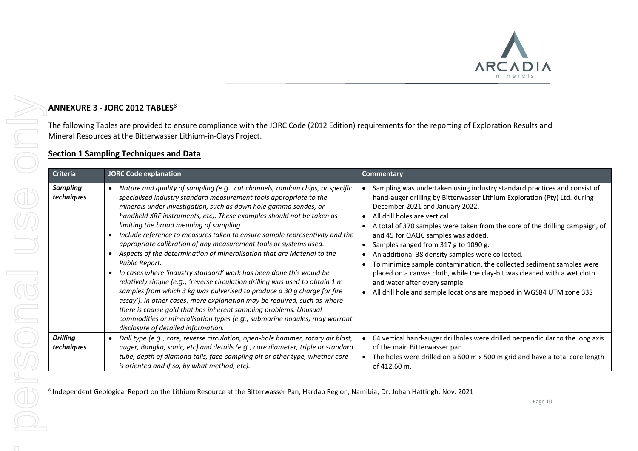

# **ANNEXURE 3 - JORC 2012 TABLES**<sup>8</sup>

The following Tables are provided to ensure compliance with the JORC Code (2012 Edition) requirements for the reporting of Exploration Results and Mineral Resources at the Bitterwasser Lithium-in-Clays Project.

#### **Section 1 Sampling Techniques and Data**

| <b>Criteria</b>               | <b>JORC Code explanation</b>                                                                                                                                                                                                                                                                                                                                                                                                                                                                                                                                                                                                                                                                                                                                                                                                                                                                                                                                                                                                                                                                          | <b>Commentary</b>                                                                                                                                                                                                                                                                                                                                                                                                                                                                                                                                                                                                                                                                                         |
|-------------------------------|-------------------------------------------------------------------------------------------------------------------------------------------------------------------------------------------------------------------------------------------------------------------------------------------------------------------------------------------------------------------------------------------------------------------------------------------------------------------------------------------------------------------------------------------------------------------------------------------------------------------------------------------------------------------------------------------------------------------------------------------------------------------------------------------------------------------------------------------------------------------------------------------------------------------------------------------------------------------------------------------------------------------------------------------------------------------------------------------------------|-----------------------------------------------------------------------------------------------------------------------------------------------------------------------------------------------------------------------------------------------------------------------------------------------------------------------------------------------------------------------------------------------------------------------------------------------------------------------------------------------------------------------------------------------------------------------------------------------------------------------------------------------------------------------------------------------------------|
| <b>Sampling</b><br>techniques | Nature and quality of sampling (e.g., cut channels, random chips, or specific<br>specialised industry standard measurement tools appropriate to the<br>minerals under investigation, such as down hole gamma sondes, or<br>handheld XRF instruments, etc). These examples should not be taken as<br>limiting the broad meaning of sampling.<br>Include reference to measures taken to ensure sample representivity and the<br>appropriate calibration of any measurement tools or systems used.<br>Aspects of the determination of mineralisation that are Material to the<br>Public Report.<br>In cases where 'industry standard' work has been done this would be<br>relatively simple (e.g., 'reverse circulation drilling was used to obtain 1 m<br>samples from which 3 kg was pulverised to produce a 30 g charge for fire<br>assay'). In other cases, more explanation may be required, such as where<br>there is coarse gold that has inherent sampling problems. Unusual<br>commodities or mineralisation types (e.g., submarine nodules) may warrant<br>disclosure of detailed information. | Sampling was undertaken using industry standard practices and consist of<br>hand-auger drilling by Bitterwasser Lithium Exploration (Pty) Ltd. during<br>December 2021 and January 2022.<br>All drill holes are vertical<br>A total of 370 samples were taken from the core of the drilling campaign, of<br>and 45 for QAQC samples was added.<br>Samples ranged from 317 g to 1090 g.<br>An additional 38 density samples were collected.<br>To minimize sample contamination, the collected sediment samples were<br>placed on a canvas cloth, while the clay-bit was cleaned with a wet cloth<br>and water after every sample.<br>All drill hole and sample locations are mapped in WGS84 UTM zone 33S |
| <b>Drilling</b><br>techniques | Drill type (e.g., core, reverse circulation, open-hole hammer, rotary air blast,<br>auger, Bangka, sonic, etc) and details (e.g., core diameter, triple or standard<br>tube, depth of diamond tails, face-sampling bit or other type, whether core<br>is oriented and if so, by what method, etc).                                                                                                                                                                                                                                                                                                                                                                                                                                                                                                                                                                                                                                                                                                                                                                                                    | 64 vertical hand-auger drillholes were drilled perpendicular to the long axis<br>of the main Bitterwasser pan.<br>The holes were drilled on a 500 m x 500 m grid and have a total core length<br>of 412.60 m.                                                                                                                                                                                                                                                                                                                                                                                                                                                                                             |

<sup>8</sup> Independent Geological Report on the Lithium Resource at the Bitterwasser Pan, Hardap Region, Namibia, Dr. Johan Hattingh, Nov. 2021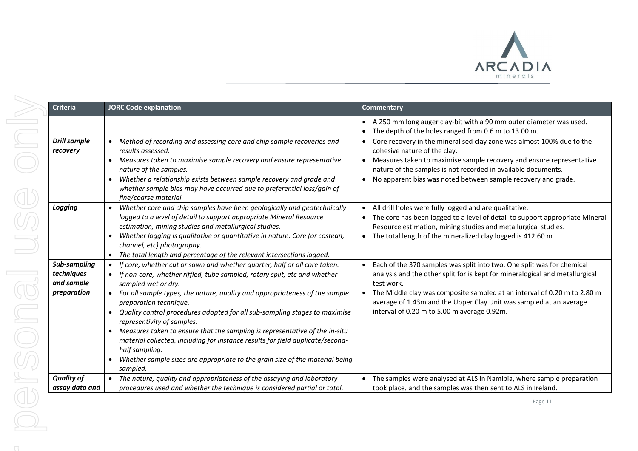

| <b>Criteria</b>                          | <b>JORC Code explanation</b>                                                                                                                                                                                                                                                                                                                                                                                                                                                           | <b>Commentary</b>                                                                                                                                                                                                                                                                                                                           |
|------------------------------------------|----------------------------------------------------------------------------------------------------------------------------------------------------------------------------------------------------------------------------------------------------------------------------------------------------------------------------------------------------------------------------------------------------------------------------------------------------------------------------------------|---------------------------------------------------------------------------------------------------------------------------------------------------------------------------------------------------------------------------------------------------------------------------------------------------------------------------------------------|
|                                          |                                                                                                                                                                                                                                                                                                                                                                                                                                                                                        | • A 250 mm long auger clay-bit with a 90 mm outer diameter was used.<br>The depth of the holes ranged from 0.6 m to 13.00 m.                                                                                                                                                                                                                |
| <b>Drill sample</b><br>recovery          | Method of recording and assessing core and chip sample recoveries and<br>results assessed.<br>Measures taken to maximise sample recovery and ensure representative<br>nature of the samples.<br>Whether a relationship exists between sample recovery and grade and<br>whether sample bias may have occurred due to preferential loss/gain of<br>fine/coarse material.                                                                                                                 | • Core recovery in the mineralised clay zone was almost 100% due to the<br>cohesive nature of the clay.<br>Measures taken to maximise sample recovery and ensure representative<br>$\bullet$<br>nature of the samples is not recorded in available documents.<br>No apparent bias was noted between sample recovery and grade.<br>$\bullet$ |
| Logging                                  | Whether core and chip samples have been geologically and geotechnically<br>$\bullet$<br>logged to a level of detail to support appropriate Mineral Resource<br>estimation, mining studies and metallurgical studies.<br>Whether logging is qualitative or quantitative in nature. Core (or costean,<br>channel, etc) photography.<br>• The total length and percentage of the relevant intersections logged.                                                                           | All drill holes were fully logged and are qualitative.<br>$\bullet$<br>• The core has been logged to a level of detail to support appropriate Mineral<br>Resource estimation, mining studies and metallurgical studies.<br>• The total length of the mineralized clay logged is 412.60 m                                                    |
| Sub-sampling<br>techniques<br>and sample | If core, whether cut or sawn and whether quarter, half or all core taken.<br>If non-core, whether riffled, tube sampled, rotary split, etc and whether<br>$\bullet$<br>sampled wet or dry.                                                                                                                                                                                                                                                                                             | Each of the 370 samples was split into two. One split was for chemical<br>$\bullet$<br>analysis and the other split for is kept for mineralogical and metallurgical<br>test work.                                                                                                                                                           |
| preparation                              | • For all sample types, the nature, quality and appropriateness of the sample<br>preparation technique.<br>Quality control procedures adopted for all sub-sampling stages to maximise<br>representivity of samples.<br>Measures taken to ensure that the sampling is representative of the in-situ<br>material collected, including for instance results for field duplicate/second-<br>half sampling.<br>Whether sample sizes are appropriate to the grain size of the material being | The Middle clay was composite sampled at an interval of 0.20 m to 2.80 m<br>$\bullet$<br>average of 1.43m and the Upper Clay Unit was sampled at an average<br>interval of 0.20 m to 5.00 m average 0.92m.                                                                                                                                  |
| <b>Quality of</b><br>assay data and      | sampled.<br>• The nature, quality and appropriateness of the assaying and laboratory<br>procedures used and whether the technique is considered partial or total.                                                                                                                                                                                                                                                                                                                      | The samples were analysed at ALS in Namibia, where sample preparation<br>$\bullet$<br>took place, and the samples was then sent to ALS in Ireland.                                                                                                                                                                                          |
|                                          |                                                                                                                                                                                                                                                                                                                                                                                                                                                                                        | Page 11                                                                                                                                                                                                                                                                                                                                     |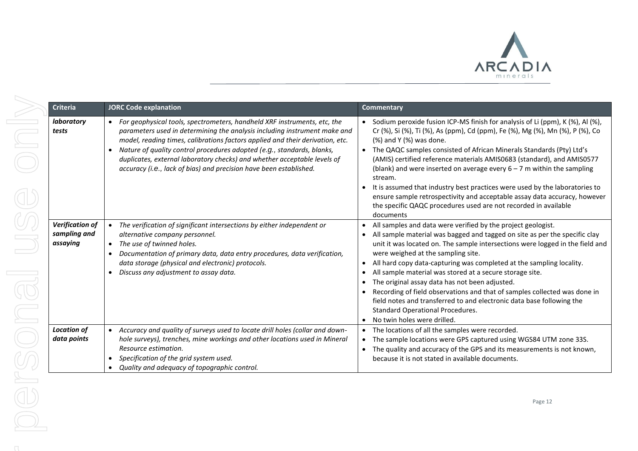

| laboratory<br>• For geophysical tools, spectrometers, handheld XRF instruments, etc, the<br>parameters used in determining the analysis including instrument make and<br>tests<br>model, reading times, calibrations factors applied and their derivation, etc.<br>(%) and Y (%) was done.<br>• The QAQC samples consisted of African Minerals Standards (Pty) Ltd's<br>Nature of quality control procedures adopted (e.g., standards, blanks,<br>duplicates, external laboratory checks) and whether acceptable levels of<br>accuracy (i.e., lack of bias) and precision have been established.<br>(blank) and were inserted on average every $6 - 7$ m within the sampling<br>stream.<br>the specific QAQC procedures used are not recorded in available<br>documents<br><b>Verification of</b><br>All samples and data were verified by the project geologist.<br>• The verification of significant intersections by either independent or<br>$\bullet$<br>sampling and<br>alternative company personnel.<br>assaying<br>• The use of twinned holes.<br>Documentation of primary data, data entry procedures, data verification,<br>were weighed at the sampling site.<br>All hard copy data-capturing was completed at the sampling locality.<br>data storage (physical and electronic) protocols.<br>$\bullet$<br>Discuss any adjustment to assay data.<br>All sample material was stored at a secure storage site.<br>The original assay data has not been adjusted.<br>field notes and transferred to and electronic data base following the<br><b>Standard Operational Procedures.</b><br>• No twin holes were drilled.<br><b>Location of</b><br>• Accuracy and quality of surveys used to locate drill holes (collar and down-<br>The locations of all the samples were recorded.<br>data points<br>hole surveys), trenches, mine workings and other locations used in Mineral<br>The sample locations were GPS captured using WGS84 UTM zone 33S.<br>Resource estimation.<br>The quality and accuracy of the GPS and its measurements is not known,<br>Specification of the grid system used.<br>because it is not stated in available documents.<br>Quality and adequacy of topographic control. | <b>Criteria</b> | <b>JORC Code explanation</b> | <b>Commentary</b>                                                                                                                                                                                                                                                                                                                                                                                      |
|-------------------------------------------------------------------------------------------------------------------------------------------------------------------------------------------------------------------------------------------------------------------------------------------------------------------------------------------------------------------------------------------------------------------------------------------------------------------------------------------------------------------------------------------------------------------------------------------------------------------------------------------------------------------------------------------------------------------------------------------------------------------------------------------------------------------------------------------------------------------------------------------------------------------------------------------------------------------------------------------------------------------------------------------------------------------------------------------------------------------------------------------------------------------------------------------------------------------------------------------------------------------------------------------------------------------------------------------------------------------------------------------------------------------------------------------------------------------------------------------------------------------------------------------------------------------------------------------------------------------------------------------------------------------------------------------------------------------------------------------------------------------------------------------------------------------------------------------------------------------------------------------------------------------------------------------------------------------------------------------------------------------------------------------------------------------------------------------------------------------------------------------------------------------------------------------------------------|-----------------|------------------------------|--------------------------------------------------------------------------------------------------------------------------------------------------------------------------------------------------------------------------------------------------------------------------------------------------------------------------------------------------------------------------------------------------------|
|                                                                                                                                                                                                                                                                                                                                                                                                                                                                                                                                                                                                                                                                                                                                                                                                                                                                                                                                                                                                                                                                                                                                                                                                                                                                                                                                                                                                                                                                                                                                                                                                                                                                                                                                                                                                                                                                                                                                                                                                                                                                                                                                                                                                             |                 |                              | • Sodium peroxide fusion ICP-MS finish for analysis of Li (ppm), K (%), Al (%),<br>Cr (%), Si (%), Ti (%), As (ppm), Cd (ppm), Fe (%), Mg (%), Mn (%), P (%), Co<br>(AMIS) certified reference materials AMIS0683 (standard), and AMIS0577<br>It is assumed that industry best practices were used by the laboratories to<br>ensure sample retrospectivity and acceptable assay data accuracy, however |
|                                                                                                                                                                                                                                                                                                                                                                                                                                                                                                                                                                                                                                                                                                                                                                                                                                                                                                                                                                                                                                                                                                                                                                                                                                                                                                                                                                                                                                                                                                                                                                                                                                                                                                                                                                                                                                                                                                                                                                                                                                                                                                                                                                                                             |                 |                              | All sample material was bagged and tagged on site as per the specific clay<br>unit it was located on. The sample intersections were logged in the field and<br>Recording of field observations and that of samples collected was done in                                                                                                                                                               |
|                                                                                                                                                                                                                                                                                                                                                                                                                                                                                                                                                                                                                                                                                                                                                                                                                                                                                                                                                                                                                                                                                                                                                                                                                                                                                                                                                                                                                                                                                                                                                                                                                                                                                                                                                                                                                                                                                                                                                                                                                                                                                                                                                                                                             |                 |                              |                                                                                                                                                                                                                                                                                                                                                                                                        |
| Page 12                                                                                                                                                                                                                                                                                                                                                                                                                                                                                                                                                                                                                                                                                                                                                                                                                                                                                                                                                                                                                                                                                                                                                                                                                                                                                                                                                                                                                                                                                                                                                                                                                                                                                                                                                                                                                                                                                                                                                                                                                                                                                                                                                                                                     |                 |                              |                                                                                                                                                                                                                                                                                                                                                                                                        |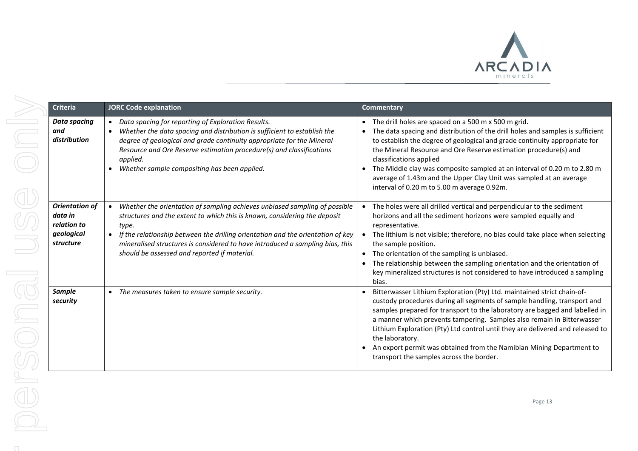

| <b>Criteria</b>                                                     | <b>JORC Code explanation</b>                                                                                                                                                                                                                                                                                                                                                                      | <b>Commentary</b>                                                                                                                                                                                                                                                                                                                                                                                                                                                                                                                     |
|---------------------------------------------------------------------|---------------------------------------------------------------------------------------------------------------------------------------------------------------------------------------------------------------------------------------------------------------------------------------------------------------------------------------------------------------------------------------------------|---------------------------------------------------------------------------------------------------------------------------------------------------------------------------------------------------------------------------------------------------------------------------------------------------------------------------------------------------------------------------------------------------------------------------------------------------------------------------------------------------------------------------------------|
| <b>Data spacing</b><br>and<br>distribution                          | Data spacing for reporting of Exploration Results.<br>$\bullet$<br>Whether the data spacing and distribution is sufficient to establish the<br>$\bullet$<br>degree of geological and grade continuity appropriate for the Mineral<br>Resource and Ore Reserve estimation procedure(s) and classifications<br>applied.<br>Whether sample compositing has been applied.                             | The drill holes are spaced on a 500 m x 500 m grid.<br>The data spacing and distribution of the drill holes and samples is sufficient<br>to establish the degree of geological and grade continuity appropriate for<br>the Mineral Resource and Ore Reserve estimation procedure(s) and<br>classifications applied<br>The Middle clay was composite sampled at an interval of 0.20 m to 2.80 m<br>average of 1.43m and the Upper Clay Unit was sampled at an average<br>interval of 0.20 m to 5.00 m average 0.92m.                   |
| Orientation of<br>data in<br>relation to<br>geological<br>structure | Whether the orientation of sampling achieves unbiased sampling of possible<br>$\bullet$<br>structures and the extent to which this is known, considering the deposit<br>type.<br>If the relationship between the drilling orientation and the orientation of key<br>mineralised structures is considered to have introduced a sampling bias, this<br>should be assessed and reported if material. | The holes were all drilled vertical and perpendicular to the sediment<br>horizons and all the sediment horizons were sampled equally and<br>representative.<br>The lithium is not visible; therefore, no bias could take place when selecting<br>the sample position.<br>The orientation of the sampling is unbiased.<br>The relationship between the sampling orientation and the orientation of<br>key mineralized structures is not considered to have introduced a sampling<br>bias.                                              |
| <b>Sample</b><br>security                                           | • The measures taken to ensure sample security.                                                                                                                                                                                                                                                                                                                                                   | Bitterwasser Lithium Exploration (Pty) Ltd. maintained strict chain-of-<br>custody procedures during all segments of sample handling, transport and<br>samples prepared for transport to the laboratory are bagged and labelled in<br>a manner which prevents tampering. Samples also remain in Bitterwasser<br>Lithium Exploration (Pty) Ltd control until they are delivered and released to<br>the laboratory.<br>An export permit was obtained from the Namibian Mining Department to<br>transport the samples across the border. |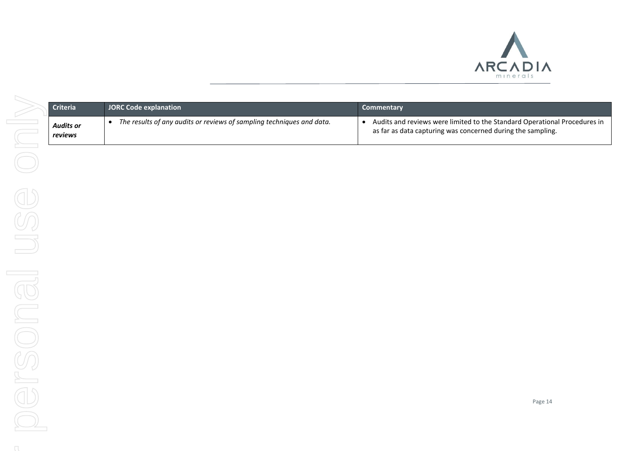

| <b>Criteria</b>             | <b>JORC Code explanation</b>                                          | <b>Commentary</b>                                                                                                                        |
|-----------------------------|-----------------------------------------------------------------------|------------------------------------------------------------------------------------------------------------------------------------------|
| <b>Audits or</b><br>reviews | The results of any audits or reviews of sampling techniques and data. | Audits and reviews were limited to the Standard Operational Procedures in<br>as far as data capturing was concerned during the sampling. |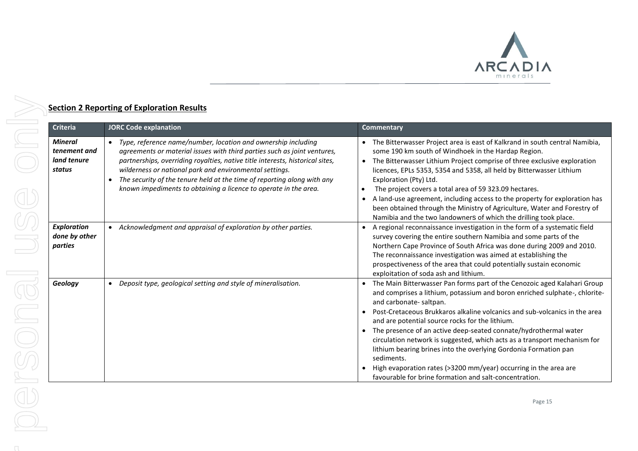

## **Section 2 Reporting of Exploration Results**

| <b>Criteria</b>                                         | <b>JORC Code explanation</b>                                                                                                                                                                                                                                                                                                                                                                                                                      | <b>Commentary</b>                                                                                                                                                                                                                                                                                                                                                                                                                                                                                                                                                                                                                                                                       |
|---------------------------------------------------------|---------------------------------------------------------------------------------------------------------------------------------------------------------------------------------------------------------------------------------------------------------------------------------------------------------------------------------------------------------------------------------------------------------------------------------------------------|-----------------------------------------------------------------------------------------------------------------------------------------------------------------------------------------------------------------------------------------------------------------------------------------------------------------------------------------------------------------------------------------------------------------------------------------------------------------------------------------------------------------------------------------------------------------------------------------------------------------------------------------------------------------------------------------|
| <b>Mineral</b><br>tenement and<br>land tenure<br>status | Type, reference name/number, location and ownership including<br>agreements or material issues with third parties such as joint ventures,<br>partnerships, overriding royalties, native title interests, historical sites,<br>wilderness or national park and environmental settings.<br>The security of the tenure held at the time of reporting along with any<br>$\bullet$<br>known impediments to obtaining a licence to operate in the area. | • The Bitterwasser Project area is east of Kalkrand in south central Namibia,<br>some 190 km south of Windhoek in the Hardap Region.<br>• The Bitterwasser Lithium Project comprise of three exclusive exploration<br>licences, EPLs 5353, 5354 and 5358, all held by Bitterwasser Lithium<br>Exploration (Pty) Ltd.<br>The project covers a total area of 59 323.09 hectares.<br>A land-use agreement, including access to the property for exploration has<br>been obtained through the Ministry of Agriculture, Water and Forestry of<br>Namibia and the two landowners of which the drilling took place.                                                                            |
| <b>Exploration</b><br>done by other<br>parties          | • Acknowledgment and appraisal of exploration by other parties.                                                                                                                                                                                                                                                                                                                                                                                   | A regional reconnaissance investigation in the form of a systematic field<br>survey covering the entire southern Namibia and some parts of the<br>Northern Cape Province of South Africa was done during 2009 and 2010.<br>The reconnaissance investigation was aimed at establishing the<br>prospectiveness of the area that could potentially sustain economic<br>exploitation of soda ash and lithium.                                                                                                                                                                                                                                                                               |
| Geology                                                 | • Deposit type, geological setting and style of mineralisation.                                                                                                                                                                                                                                                                                                                                                                                   | • The Main Bitterwasser Pan forms part of the Cenozoic aged Kalahari Group<br>and comprises a lithium, potassium and boron enriched sulphate-, chlorite-<br>and carbonate- saltpan.<br>Post-Cretaceous Brukkaros alkaline volcanics and sub-volcanics in the area<br>and are potential source rocks for the lithium.<br>• The presence of an active deep-seated connate/hydrothermal water<br>circulation network is suggested, which acts as a transport mechanism for<br>lithium bearing brines into the overlying Gordonia Formation pan<br>sediments.<br>High evaporation rates (>3200 mm/year) occurring in the area are<br>favourable for brine formation and salt-concentration. |
|                                                         |                                                                                                                                                                                                                                                                                                                                                                                                                                                   | Page 15                                                                                                                                                                                                                                                                                                                                                                                                                                                                                                                                                                                                                                                                                 |
|                                                         |                                                                                                                                                                                                                                                                                                                                                                                                                                                   |                                                                                                                                                                                                                                                                                                                                                                                                                                                                                                                                                                                                                                                                                         |
|                                                         |                                                                                                                                                                                                                                                                                                                                                                                                                                                   |                                                                                                                                                                                                                                                                                                                                                                                                                                                                                                                                                                                                                                                                                         |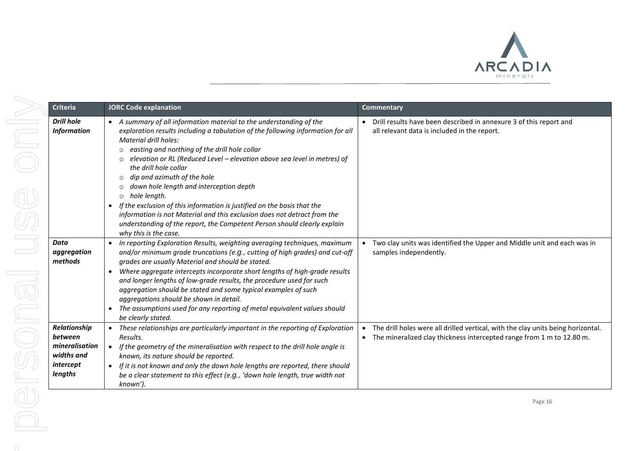

| <b>Criteria</b>                                                                 | <b>JORC Code explanation</b>                                                                                                                                                                                                                                                                                                                                                                                                                                                                                                                                                                                                                                                                                                              | <b>Commentary</b>                                                                                                                                             |
|---------------------------------------------------------------------------------|-------------------------------------------------------------------------------------------------------------------------------------------------------------------------------------------------------------------------------------------------------------------------------------------------------------------------------------------------------------------------------------------------------------------------------------------------------------------------------------------------------------------------------------------------------------------------------------------------------------------------------------------------------------------------------------------------------------------------------------------|---------------------------------------------------------------------------------------------------------------------------------------------------------------|
| <b>Drill hole</b><br><b>Information</b>                                         | • A summary of all information material to the understanding of the<br>exploration results including a tabulation of the following information for all<br>Material drill holes:<br>o easting and northing of the drill hole collar<br>elevation or RL (Reduced Level - elevation above sea level in metres) of<br>$\circ$<br>the drill hole collar<br>dip and azimuth of the hole<br>$\circ$<br>down hole length and interception depth<br>$\circ$<br>hole length.<br>$\circ$<br>If the exclusion of this information is justified on the basis that the<br>information is not Material and this exclusion does not detract from the<br>understanding of the report, the Competent Person should clearly explain<br>why this is the case. | • Drill results have been described in annexure 3 of this report and<br>all relevant data is included in the report.                                          |
| <b>Data</b><br>aggregation<br>methods                                           | In reporting Exploration Results, weighting averaging techniques, maximum<br>and/or minimum grade truncations (e.g., cutting of high grades) and cut-off<br>grades are usually Material and should be stated.<br>Where aggregate intercepts incorporate short lengths of high-grade results<br>and longer lengths of low-grade results, the procedure used for such<br>aggregation should be stated and some typical examples of such<br>aggregations should be shown in detail.<br>The assumptions used for any reporting of metal equivalent values should<br>be clearly stated.                                                                                                                                                        | • Two clay units was identified the Upper and Middle unit and each was in<br>samples independently.                                                           |
| Relationship<br>between<br>mineralisation<br>widths and<br>intercept<br>lengths | These relationships are particularly important in the reporting of Exploration<br>Results.<br>• If the geometry of the mineralisation with respect to the drill hole angle is<br>known, its nature should be reported.<br>If it is not known and only the down hole lengths are reported, there should<br>be a clear statement to this effect (e.g., 'down hole length, true width not<br>known').                                                                                                                                                                                                                                                                                                                                        | • The drill holes were all drilled vertical, with the clay units being horizontal.<br>• The mineralized clay thickness intercepted range from 1 m to 12.80 m. |
|                                                                                 |                                                                                                                                                                                                                                                                                                                                                                                                                                                                                                                                                                                                                                                                                                                                           |                                                                                                                                                               |